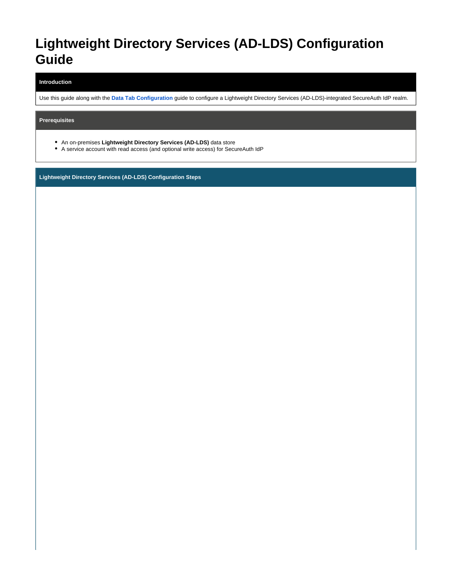# **Lightweight Directory Services (AD-LDS) Configuration Guide**

#### **Introduction**

Use this guide along with the **[Data Tab Configuration](https://docs.classic.secureauth.com/display/91docs/Data+Tab+Configuration)** guide to configure a Lightweight Directory Services (AD-LDS)-integrated SecureAuth IdP realm.

**Prerequisites**

- An on-premises **Lightweight Directory Services (AD-LDS)** data store
- A service account with read access (and optional write access) for SecureAuth IdP

**Lightweight Directory Services (AD-LDS) Configuration Steps**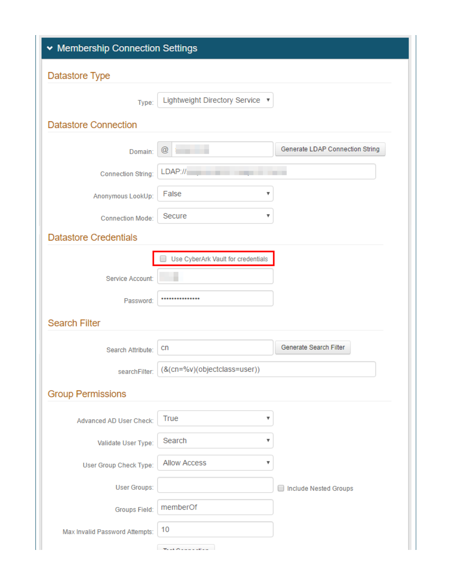| ▼ Membership Connection Settings |                                    |                                   |  |
|----------------------------------|------------------------------------|-----------------------------------|--|
| Datastore Type                   |                                    |                                   |  |
| Type:                            | Lightweight Directory Service ▼    |                                   |  |
| <b>Datastore Connection</b>      |                                    |                                   |  |
|                                  |                                    |                                   |  |
| Domain:                          | $^{\copyright}$                    | Generate LDAP Connection String   |  |
| <b>Connection String:</b>        | LDAP://r                           |                                   |  |
| Anonymous LookUp:                | False<br>v                         |                                   |  |
| <b>Connection Mode:</b>          | Secure<br>v                        |                                   |  |
| <b>Datastore Credentials</b>     |                                    |                                   |  |
|                                  | Use CyberArk Vault for credentials |                                   |  |
| Service Account:                 |                                    |                                   |  |
| Password:                        |                                    |                                   |  |
| <b>Search Filter</b>             |                                    |                                   |  |
|                                  |                                    | Generate Search Filter            |  |
| Search Attribute:                | cn                                 |                                   |  |
| searchFilter:                    | (&(cn=%v)(objectclass=user))       |                                   |  |
| <b>Group Permissions</b>         |                                    |                                   |  |
| Advanced AD User Check:          | True<br>▼                          |                                   |  |
| Validate User Type:              | Search<br>v                        |                                   |  |
| User Group Check Type:           | <b>Allow Access</b><br>v           |                                   |  |
| User Groups:                     |                                    | <b>Include Nested Groups</b><br>٠ |  |
| Groups Field:                    | memberOf                           |                                   |  |
| Max Invalid Password Attempts:   | 10                                 |                                   |  |
|                                  |                                    |                                   |  |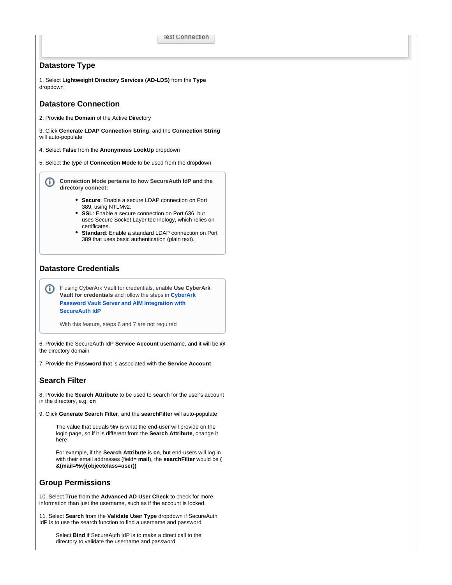### **Datastore Type**

1. Select **Lightweight Directory Services (AD-LDS)** from the **Type** dropdown

#### **Datastore Connection**

2. Provide the **Domain** of the Active Directory

3. Click **Generate LDAP Connection String**, and the **Connection String** will auto-populate

4. Select **False** from the **Anonymous LookUp** dropdown

5. Select the type of **Connection Mode** to be used from the dropdown

G) **Connection Mode pertains to how SecureAuth IdP and the directory connect:**

- **Secure**: Enable a secure LDAP connection on Port 389, using NTLMv2.
- **SSL**: Enable a secure connection on Port 636, but uses Secure Socket Layer technology, which relies on certificates.
- **Standard**: Enable a standard LDAP connection on Port 389 that uses basic authentication (plain text).

## **Datastore Credentials**

If using CyberArk Vault for credentials, enable **Use CyberArk**  (i) **Vault for credentials** and follow the steps in **[CyberArk](https://docs.secureauth.com/display/90docs/CyberArk+Password+Vault+Server+and+AIM+Integration+with+SecureAuth+IdP)  [Password Vault Server and AIM Integration with](https://docs.secureauth.com/display/90docs/CyberArk+Password+Vault+Server+and+AIM+Integration+with+SecureAuth+IdP)  [SecureAuth IdP](https://docs.secureauth.com/display/90docs/CyberArk+Password+Vault+Server+and+AIM+Integration+with+SecureAuth+IdP)**

With this feature, steps 6 and 7 are not required

6. Provide the SecureAuth IdP **Service Account** username, and it will be **@** the directory domain

7. Provide the **Password** that is associated with the **Service Account**

#### **Search Filter**

8. Provide the **Search Attribute** to be used to search for the user's account in the directory, e.g. **cn**

9. Click **Generate Search Filter**, and the **searchFilter** will auto-populate

The value that equals **%v** is what the end-user will provide on the login page, so if it is different from the **Search Attribute**, change it here

For example, if the **Search Attribute** is **cn**, but end-users will log in with their email addresses (field= **mail**), the **searchFilter** would be **( &(mail=%v)(objectclass=user))**

## **Group Permissions**

10. Select **True** from the **Advanced AD User Check** to check for more information than just the username, such as if the account is locked

11. Select **Search** from the **Validate User Type** dropdown if SecureAuth IdP is to use the search function to find a username and password

Select **Bind** if SecureAuth IdP is to make a direct call to the directory to validate the username and password